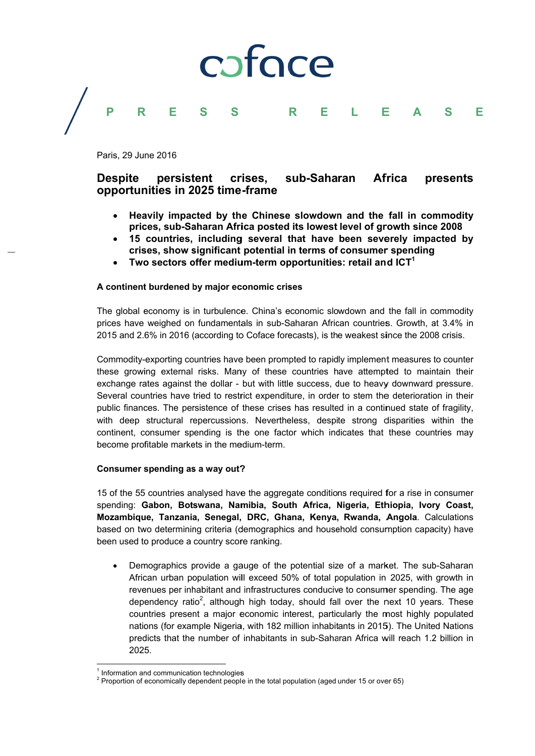#### coface P R Е  $\mathsf{R}$ **S** E F L Е  $\blacktriangle$

Paris, 29 June 2016

#### persistent crises. sub-Saharan **Africa Despite** presents opportunities in 2025 time-frame

- Heavily impacted by the Chinese slowdown and the fall in commodity prices, sub-Saharan Africa posted its lowest level of growth since 2008
- 15 countries, including several that have been severely impacted by crises, show significant potential in terms of consumer spending
- $\bullet$ Two sectors offer medium-term opportunities: retail and ICT<sup>1</sup>

# A continent burdened by major economic crises

The global economy is in turbulence. China's economic slowdown and the fall in commodity prices have weighed on fundamentals in sub-Saharan African countries. Growth, at 3.4% in 2015 and 2.6% in 2016 (according to Coface forecasts), is the weakest since the 2008 crisis.

Commodity-exporting countries have been prompted to rapidly implement measures to counter these growing external risks. Many of these countries have attempted to maintain their exchange rates against the dollar - but with little success, due to heavy downward pressure. Several countries have tried to restrict expenditure, in order to stem the deterioration in their public finances. The persistence of these crises has resulted in a continued state of fragility. with deep structural repercussions. Nevertheless, despite strong disparities within the continent, consumer spending is the one factor which indicates that these countries may become profitable markets in the medium-term.

### Consumer spending as a way out?

15 of the 55 countries analysed have the aggregate conditions required for a rise in consumer spending: Gabon, Botswana, Namibia, South Africa, Nigeria, Ethiopia, Ivory Coast, Mozambique, Tanzania, Senegal, DRC, Ghana, Kenya, Rwanda, Angola. Calculations based on two determining criteria (demographics and household consumption capacity) have been used to produce a country score ranking.

Demographics provide a gauge of the potential size of a market. The sub-Saharan African urban population will exceed 50% of total population in 2025, with growth in revenues per inhabitant and infrastructures conducive to consumer spending. The age dependency ratio<sup>2</sup>, although high today, should fall over the next 10 years. These countries present a major economic interest, particularly the most highly populated nations (for example Nigeria, with 182 million inhabitants in 2015). The United Nations predicts that the number of inhabitants in sub-Saharan Africa will reach 1.2 billion in 2025.

 $1$  Information and communication technologies

 $2$  Proportion of economically dependent people in the total population (aged under 15 or over 65)